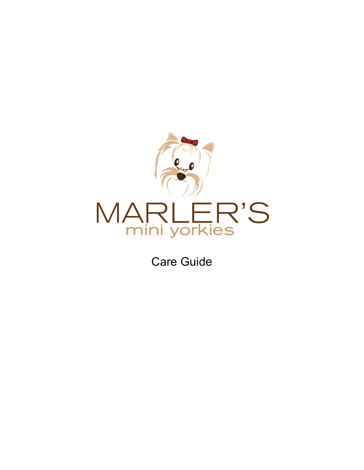

Care Guide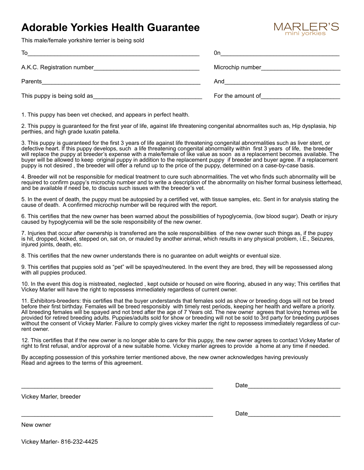## **Adorable Yorkies Health Guarantee**



This male/female yorkshire terrier is being sold

| To                                                                                                                                                                                                                                       | 0n                                                                                                             |
|------------------------------------------------------------------------------------------------------------------------------------------------------------------------------------------------------------------------------------------|----------------------------------------------------------------------------------------------------------------|
|                                                                                                                                                                                                                                          | Microchip number and the state of the state of the state of the state of the state of the state of the state o |
| Parents                                                                                                                                                                                                                                  | And                                                                                                            |
| This puppy is being sold as <b>Example 20</b> is the sold as <b>Example 20</b> is the sold as the sold as the sold as the sold as the sold as the sold as the sold as the sold as the sold as the sold as the sold as the sold as the so | For the amount of <b>Example 20</b>                                                                            |

1. This puppy has been vet checked, and appears in perfect health.

2. This puppy is guaranteed for the first year of life, against life threatening congenital abnormalites such as, Hip dysplasia, hip perthies, and high grade luxatin patella.

3. This puppy is guaranteed for the first 3 years of life against life threatening congenital abnormalities such as liver stent, or defective heart. If this puppy develops, such a life threatening congenital abnormality within first 3 years of life, the breeder will replace the puppy at breeder's expense with a male/female of like value as soon as a replacement becomes available. The buyer will be allowed to keep original puppy in addition to the replacement puppy if breeder and buyer agree. If a replacement puppy is not desired , the breeder will offer a refund up to the price of the puppy, determined on a case-by-case basis.

4. Breeder will not be responsible for medical treatment to cure such abnormalities. The vet who finds such abnormality will be required to confirm puppy's microchip number and to write a description of the abnormality on his/her formal business letterhead, and be available if need be, to discuss such issues with the breeder's vet.

5. In the event of death, the puppy must be autopsied by a certified vet, with tissue samples, etc. Sent in for analysis stating the cause of death. A confirmed microchip number will be required with the report.

6. This certifies that the new owner has been warned about the possibilities of hypoglycemia, (low blood sugar). Death or injury caused by hypoglycemia will be the sole responsibility of the new owner.

7. Injuries that occur after ownership is transferred are the sole responsibilities of the new owner such things as, if the puppy is hit, dropped, kicked, stepped on, sat on, or mauled by another animal, which results in any physical problem, i.E., Seizures, injured joints, death, etc.

8. This certifies that the new owner understands there is no guarantee on adult weights or eventual size.

9. This certifies that puppies sold as "pet" will be spayed/neutered. In the event they are bred, they will be repossessed along with all puppies produced.

10. In the event this dog is mistreated, neglected , kept outside or housed on wire flooring, abused in any way; This certifies that Vickey Marler will have the right to repossess immediately regardless of current owner.

11. Exhibitors-breeders: this certifies that the buyer understands that females sold as show or breeding dogs will not be breed before their first birthday. Females will be breed responsibly with timely rest periods, keeping her health and welfare a priority. All breeding females will be spayed and not bred after the age of 7 Years old. The new owner agrees that loving homes will be provided for retired breeding adults. Puppies/adults sold for show or breeding will not be sold to 3rd party for breeding purposes without the consent of Vickey Marler. Failure to comply gives vickey marler the right to repossess immediately regardless of current owner.

12. This certifies that if the new owner is no longer able to care for this puppy, the new owner agrees to contact Vickey Marler of right to first refusal, and/or approval of a new suitable home. Vickey marler agrees to provide a home at any time if needed.

By accepting possession of this yorkshire terrier mentioned above, the new owner acknowledges having previously Read and agrees to the terms of this agreement.

Vickey Marler, breeder

 $Date$  and  $Date$  and  $Date$  and  $Date$  and  $Date$  and  $Date$  and  $Date$  and  $Date$  and  $Date$  and  $Date$  and  $Date$  and  $Date$  and  $Date$  and  $Date$  and  $Date$  and  $Date$  and  $Date$  and  $Date$  and  $Date$  and  $Date$  and  $Date$  and  $Date$  and  $Date$  and  $Date$  and  $Date$  and  $Date$  and  $Date$  and  $Date$  a

\_\_\_\_\_\_\_\_\_\_\_\_\_\_\_\_\_\_\_\_\_\_\_\_\_\_\_\_\_\_\_\_\_\_\_\_\_\_\_\_\_\_\_\_\_\_\_\_\_\_\_\_\_\_\_\_\_\_ Date\_\_\_\_\_\_\_\_\_\_\_\_\_\_\_\_\_\_\_\_\_\_\_\_\_\_\_\_

New owner

Vickey Marler- 816-232-4425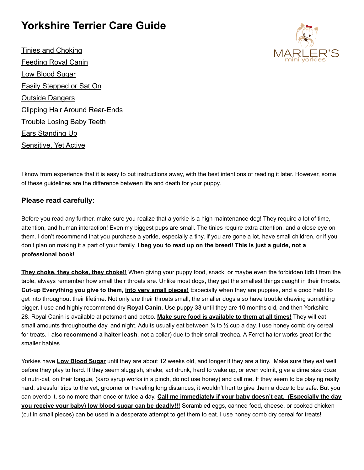## **Yorkshire Terrier Care Guide**

Tinies and Choking Feeding Royal Canin Low Blood Sugar Easily Stepped or Sat On Outside Dangers Clipping Hair Around Rear-Ends Trouble Losing Baby Teeth Ears Standing Up Sensitive, Yet Active



I know from experience that it is easy to put instructions away, with the best intentions of reading it later. However, some of these guidelines are the difference between life and death for your puppy.

#### **Please read carefully:**

Before you read any further, make sure you realize that a yorkie is a high maintenance dog! They require a lot of time, attention, and human interaction! Even my biggest pups are small. The tinies require extra attention, and a close eye on them. I don't recommend that you purchase a yorkie, especially a tiny, if you are gone a lot, have small children, or if you don't plan on making it a part of your family. **I beg you to read up on the breed! This is just a guide, not a professional book!**

**They choke, they choke, they choke!!** When giving your puppy food, snack, or maybe even the forbidden tidbit from the table, always remember how small their throats are. Unlike most dogs, they get the smallest things caught in their throats. **Cut-up Everything you give to them, into very small pieces!** Especially when they are puppies, and a good habit to get into throughout their lifetime. Not only are their throats small, the smaller dogs also have trouble chewing something bigger. I use and highly recommend dry **Royal Canin**. Use puppy 33 until they are 10 months old, and then Yorkshire 28. Royal Canin is available at petsmart and petco. **Make sure food is available to them at all times!** They will eat small amounts throughouthe day, and night. Adults usually eat between ¼ to ½ cup a day. I use honey comb dry cereal for treats. I also **recommend a halter leash**, not a collar) due to their small trechea. A Ferret halter works great for the smaller babies.

Yorkies have **Low Blood Sugar** until they are about 12 weeks old, and longer if they are a tiny. Make sure they eat well before they play to hard. If they seem sluggish, shake, act drunk, hard to wake up, or even volmit, give a dime size doze of nutri-cal, on their tongue, (karo syrup works in a pinch, do not use honey) and call me. If they seem to be playing really hard, stressful trips to the vet, groomer or traveling long distances, it wouldn't hurt to give them a doze to be safe. But you can overdo it, so no more than once or twice a day. **Call me immediately if your baby doesn't eat, (Especially the day you receive your baby) low blood sugar can be deadly!!!** Scrambled eggs, canned food, cheese, or cooked chicken (cut in small pieces) can be used in a desperate attempt to get them to eat. I use honey comb dry cereal for treats!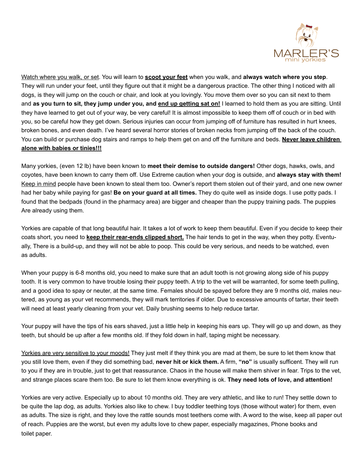

Watch where you walk, or set. You will learn to **scoot your feet** when you walk, and **always watch where you step**. They will run under your feet, until they figure out that it might be a dangerous practice. The other thing I noticed with all dogs, is they will jump on the couch or chair, and look at you lovingly. You move them over so you can sit next to them and **as you turn to sit, they jump under you, and end up getting sat on!** I learned to hold them as you are sitting. Until they have learned to get out of your way, be very careful! It is almost impossible to keep them off of couch or in bed with you, so be careful how they get down. Serious injuries can occur from jumping off of furniture has resulted in hurt knees, broken bones, and even death. I've heard several horror stories of broken necks from jumping off the back of the couch. You can build or purchase dog stairs and ramps to help them get on and off the furniture and beds. **Never leave children alone with babies or tinies!!!**

Many yorkies, (even 12 lb) have been known to **meet their demise to outside dangers!** Other dogs, hawks, owls, and coyotes, have been known to carry them off. Use Extreme caution when your dog is outside, and **always stay with them!** Keep in mind people have been known to steal them too. Owner's report them stolen out of their yard, and one new owner had her baby while paying for gas! **Be on your guard at all times.** They do quite well as inside dogs. I use potty pads. I found that the bedpads (found in the pharmacy area) are bigger and cheaper than the puppy training pads. The puppies Are already using them.

Yorkies are capable of that long beautiful hair. It takes a lot of work to keep them beautiful. Even if you decide to keep their coats short, you need to **keep their rear-ends clipped short.** The hair tends to get in the way, when they potty. Eventually, There is a build-up, and they will not be able to poop. This could be very serious, and needs to be watched, even as adults.

When your puppy is 6-8 months old, you need to make sure that an adult tooth is not growing along side of his puppy tooth. It is very common to have trouble losing their puppy teeth. A trip to the vet will be warranted, for some teeth pulling, and a good idea to spay or neuter, at the same time. Females should be spayed before they are 9 months old, males neutered, as young as your vet recommends, they will mark territories if older. Due to excessive amounts of tartar, their teeth will need at least yearly cleaning from your vet. Daily brushing seems to help reduce tartar.

Your puppy will have the tips of his ears shaved, just a little help in keeping his ears up. They will go up and down, as they teeth, but should be up after a few months old. If they fold down in half, taping might be necessary.

Yorkies are very sensitive to your moods! They just melt if they think you are mad at them, be sure to let them know that you still love them, even if they did something bad, **never hit or kick them.** A firm, **"no"** is usually sufficent. They will run to you if they are in trouble, just to get that reassurance. Chaos in the house will make them shiver in fear. Trips to the vet, and strange places scare them too. Be sure to let them know everything is ok. **They need lots of love, and attention!**

Yorkies are very active. Especially up to about 10 months old. They are very athletic, and like to run! They settle down to be quite the lap dog, as adults. Yorkies also like to chew. I buy toddler teething toys (those without water) for them, even as adults. The size is right, and they love the rattle sounds most teethers come with. A word to the wise, keep all paper out of reach. Puppies are the worst, but even my adults love to chew paper, especially magazines, Phone books and toilet paper.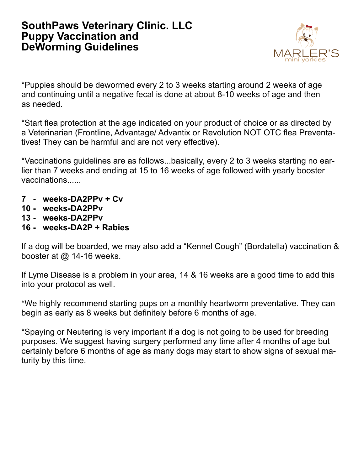#### **SouthPaws Veterinary Clinic. LLC Puppy Vaccination and DeWorming Guidelines**



\*Puppies should be dewormed every 2 to 3 weeks starting around 2 weeks of age and continuing until a negative fecal is done at about 8-10 weeks of age and then as needed.

\*Start flea protection at the age indicated on your product of choice or as directed by a Veterinarian (Frontline, Advantage/ Advantix or Revolution NOT OTC flea Preventatives! They can be harmful and are not very effective).

\*Vaccinations guidelines are as follows...basically, every 2 to 3 weeks starting no earlier than 7 weeks and ending at 15 to 16 weeks of age followed with yearly booster vaccinations......

- **7 weeks-DA2PPv + Cv**
- **10 weeks-DA2PPv**
- **13 weeks-DA2PPv**
- **16 weeks-DA2P + Rabies**

If a dog will be boarded, we may also add a "Kennel Cough" (Bordatella) vaccination & booster at @ 14-16 weeks.

If Lyme Disease is a problem in your area, 14 & 16 weeks are a good time to add this into your protocol as well.

\*We highly recommend starting pups on a monthly heartworm preventative. They can begin as early as 8 weeks but definitely before 6 months of age.

\*Spaying or Neutering is very important if a dog is not going to be used for breeding purposes. We suggest having surgery performed any time after 4 months of age but certainly before 6 months of age as many dogs may start to show signs of sexual maturity by this time.